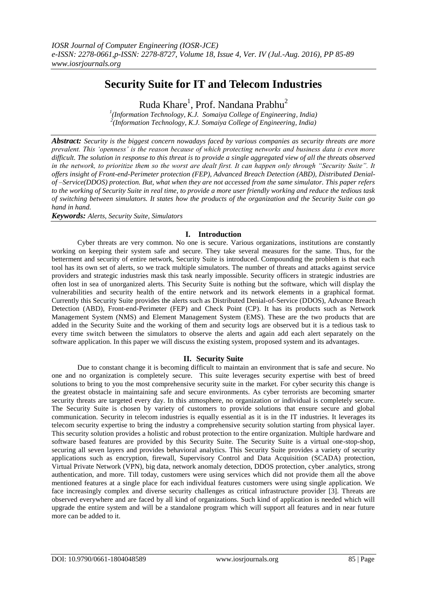# **Security Suite for IT and Telecom Industries**

Ruda Khare<sup>1</sup>, Prof. Nandana Prabhu<sup>2</sup>

*1 (Information Technology, K.J. Somaiya College of Engineering, India) 2 (Information Technology, K.J. Somaiya College of Engineering, India)*

*Abstract: Security is the biggest concern nowadays faced by various companies as security threats are more prevalent. This "openness" is the reason because of which protecting networks and business data is even more difficult. The solution in response to this threat is to provide a single aggregated view of all the threats observed in the network, to prioritize them so the worst are dealt first. It can happen only through "Security Suite". It offers insight of Front-end-Perimeter protection (FEP), Advanced Breach Detection (ABD), Distributed Denialof –Service(DDOS) protection. But, what when they are not accessed from the same simulator. This paper refers to the working of Security Suite in real time, to provide a more user friendly working and reduce the tedious task of switching between simulators. It states how the products of the organization and the Security Suite can go hand in hand.*

*Keywords: Alerts, Security Suite, Simulators*

# **I. Introduction**

Cyber threats are very common. No one is secure. Various organizations, institutions are constantly working on keeping their system safe and secure. They take several measures for the same. Thus, for the betterment and security of entire network, Security Suite is introduced. Compounding the problem is that each tool has its own set of alerts, so we track multiple simulators. The number of threats and attacks against service providers and strategic industries mask this task nearly impossible. Security officers in strategic industries are often lost in sea of unorganized alerts. This Security Suite is nothing but the software, which will display the vulnerabilities and security health of the entire network and its network elements in a graphical format. Currently this Security Suite provides the alerts such as Distributed Denial-of-Service (DDOS), Advance Breach Detection (ABD), Front-end-Perimeter (FEP) and Check Point (CP). It has its products such as Network Management System (NMS) and Element Management System (EMS). These are the two products that are added in the Security Suite and the working of them and security logs are observed but it is a tedious task to every time switch between the simulators to observe the alerts and again add each alert separately on the software application. In this paper we will discuss the existing system, proposed system and its advantages.

## **II. Security Suite**

Due to constant change it is becoming difficult to maintain an environment that is safe and secure. No one and no organization is completely secure. This suite leverages security expertise with best of breed solutions to bring to you the most comprehensive security suite in the market. For cyber security this change is the greatest obstacle in maintaining safe and secure environments. As cyber terrorists are becoming smarter security threats are targeted every day. In this atmosphere, no organization or individual is completely secure. The Security Suite is chosen by variety of customers to provide solutions that ensure secure and global communication. Security in telecom industries is equally essential as it is in the IT industries. It leverages its telecom security expertise to bring the industry a comprehensive security solution starting from physical layer. This security solution provides a holistic and robust protection to the entire organization. Multiple hardware and software based features are provided by this Security Suite. The Security Suite is a virtual one-stop-shop, securing all seven layers and provides behavioral analytics. This Security Suite provides a variety of security applications such as encryption, firewall, Supervisory Control and Data Acquisition (SCADA) protection, Virtual Private Network (VPN), big data, network anomaly detection, DDOS protection, cyber .analytics, strong authentication, and more. Till today, customers were using services which did not provide them all the above mentioned features at a single place for each individual features customers were using single application. We face increasingly complex and diverse security challenges as critical infrastructure provider [3]. Threats are observed everywhere and are faced by all kind of organizations. Such kind of application is needed which will upgrade the entire system and will be a standalone program which will support all features and in near future more can be added to it.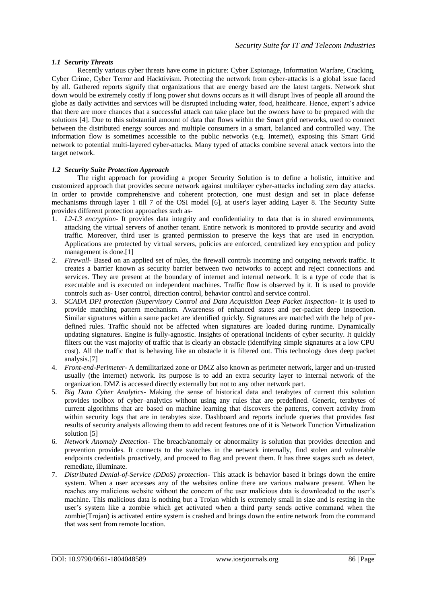# *1.1 Security Threats*

Recently various cyber threats have come in picture: Cyber Espionage, Information Warfare, Cracking, Cyber Crime, Cyber Terror and Hacktivism. Protecting the network from cyber-attacks is a global issue faced by all. Gathered reports signify that organizations that are energy based are the latest targets. Network shut down would be extremely costly if long power shut downs occurs as it will disrupt lives of people all around the globe as daily activities and services will be disrupted including water, food, healthcare. Hence, expert"s advice that there are more chances that a successful attack can take place but the owners have to be prepared with the solutions [4]. Due to this substantial amount of data that flows within the Smart grid networks, used to connect between the distributed energy sources and multiple consumers in a smart, balanced and controlled way. The information flow is sometimes accessible to the public networks (e.g. Internet), exposing this Smart Grid network to potential multi-layered cyber-attacks. Many typed of attacks combine several attack vectors into the target network.

## *1.2 Security Suite Protection Approach*

The right approach for providing a proper Security Solution is to define a holistic, intuitive and customized approach that provides secure network against multilayer cyber-attacks including zero day attacks. In order to provide comprehensive and coherent protection, one must design and set in place defense mechanisms through layer 1 till 7 of the OSI model [6], at user's layer adding Layer 8. The Security Suite provides different protection approaches such as-

- 1. *L2-L3 encryption* It provides data integrity and confidentiality to data that is in shared environments, attacking the virtual servers of another tenant. Entire network is monitored to provide security and avoid traffic. Moreover, third user is granted permission to preserve the keys that are used in encryption. Applications are protected by virtual servers, policies are enforced, centralized key encryption and policy management is done.[1]
- 2. *Firewall* Based on an applied set of rules, the firewall controls incoming and outgoing network traffic. It creates a barrier known as security barrier between two networks to accept and reject connections and services. They are present at the boundary of internet and internal network. It is a type of code that is executable and is executed on independent machines. Traffic flow is observed by it. It is used to provide controls such as- User control, direction control, behavior control and service control.
- 3. *SCADA DPI protection (Supervisory Control and Data Acquisition Deep Packet Inspection* It is used to provide matching pattern mechanism. Awareness of enhanced states and per-packet deep inspection. Similar signatures within a same packet are identified quickly. Signatures are matched with the help of predefined rules. Traffic should not be affected when signatures are loaded during runtime. Dynamically updating signatures. Engine is fully-agnostic. Insights of operational incidents of cyber security. It quickly filters out the vast majority of traffic that is clearly an obstacle (identifying simple signatures at a low CPU cost). All the traffic that is behaving like an obstacle it is filtered out. This technology does deep packet analysis.[7]
- 4. *Front-end-Perimeter* A demilitarized zone or DMZ also known as perimeter network, larger and un-trusted usually (the internet) network. Its purpose is to add an extra security layer to internal network of the organization. DMZ is accessed directly externally but not to any other network part.
- 5. *Big Data Cyber Analytics-* Making the sense of historical data and terabytes of current this solution provides toolbox of cyber–analytics without using any rules that are predefined. Generic, terabytes of current algorithms that are based on machine learning that discovers the patterns, convert activity from within security logs that are in terabytes size. Dashboard and reports include queries that provides fast results of security analysts allowing them to add recent features one of it is Network Function Virtualization solution [5]
- 6. *Network Anomaly Detection-* The breach/anomaly or abnormality is solution that provides detection and prevention provides. It connects to the switches in the network internally, find stolen and vulnerable endpoints credentials proactively, and proceed to flag and prevent them. It has three stages such as detect, remediate, illuminate.
- 7. *Distributed Denial-of-Service (DDoS) protection-* This attack is behavior based it brings down the entire system. When a user accesses any of the websites online there are various malware present. When he reaches any malicious website without the concern of the user malicious data is downloaded to the user"s machine. This malicious data is nothing but a Trojan which is extremely small in size and is resting in the user"s system like a zombie which get activated when a third party sends active command when the zombie(Trojan) is activated entire system is crashed and brings down the entire network from the command that was sent from remote location.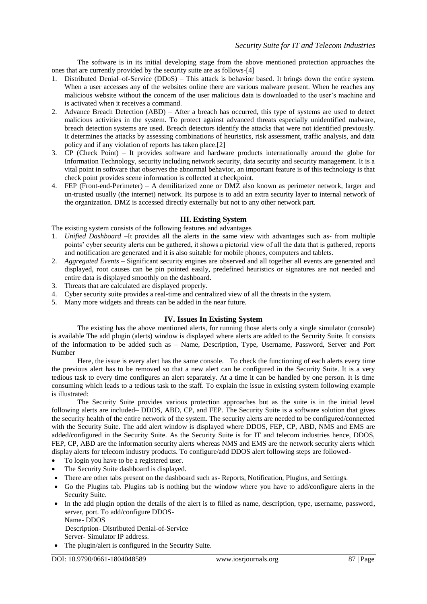The software is in its initial developing stage from the above mentioned protection approaches the ones that are currently provided by the security suite are as follows-[4]

- 1. Distributed Denial–of-Service (DDoS) This attack is behavior based. It brings down the entire system. When a user accesses any of the websites online there are various malware present. When he reaches any malicious website without the concern of the user malicious data is downloaded to the user"s machine and is activated when it receives a command.
- 2. Advance Breach Detection (ABD) After a breach has occurred, this type of systems are used to detect malicious activities in the system. To protect against advanced threats especially unidentified malware, breach detection systems are used. Breach detectors identify the attacks that were not identified previously. It determines the attacks by assessing combinations of heuristics, risk assessment, traffic analysis, and data policy and if any violation of reports has taken place.[2]
- 3. CP (Check Point) It provides software and hardware products internationally around the globe for Information Technology, security including network security, data security and security management. It is a vital point in software that observes the abnormal behavior, an important feature is of this technology is that check point provides scene information is collected at checkpoint.
- 4. FEP (Front-end-Perimeter) A demilitarized zone or DMZ also known as perimeter network, larger and un-trusted usually (the internet) network. Its purpose is to add an extra security layer to internal network of the organization. DMZ is accessed directly externally but not to any other network part.

## **III. Existing System**

The existing system consists of the following features and advantages

- 1. *Unified Dashboard* –It provides all the alerts in the same view with advantages such as- from multiple points' cyber security alerts can be gathered, it shows a pictorial view of all the data that is gathered, reports and notification are generated and it is also suitable for mobile phones, computers and tablets.
- 2. *Aggregated Events* Significant security engines are observed and all together all events are generated and displayed, root causes can be pin pointed easily, predefined heuristics or signatures are not needed and entire data is displayed smoothly on the dashboard.
- 3. Threats that are calculated are displayed properly.
- 4. Cyber security suite provides a real-time and centralized view of all the threats in the system.
- 5. Many more widgets and threats can be added in the near future.

## **IV. Issues In Existing System**

The existing has the above mentioned alerts, for running those alerts only a single simulator (console) is available The add plugin (alerts) window is displayed where alerts are added to the Security Suite. It consists of the information to be added such as – Name, Description, Type, Username, Password, Server and Port Number

Here, the issue is every alert has the same console. To check the functioning of each alerts every time the previous alert has to be removed so that a new alert can be configured in the Security Suite. It is a very tedious task to every time configures an alert separately. At a time it can be handled by one person. It is time consuming which leads to a tedious task to the staff. To explain the issue in existing system following example is illustrated:

The Security Suite provides various protection approaches but as the suite is in the initial level following alerts are included– DDOS, ABD, CP, and FEP. The Security Suite is a software solution that gives the security health of the entire network of the system. The security alerts are needed to be configured/connected with the Security Suite. The add alert window is displayed where DDOS, FEP, CP, ABD, NMS and EMS are added/configured in the Security Suite. As the Security Suite is for IT and telecom industries hence, DDOS, FEP, CP, ABD are the information security alerts whereas NMS and EMS are the network security alerts which display alerts for telecom industry products. To configure/add DDOS alert following steps are followed-

- To login you have to be a registered user.
- The Security Suite dashboard is displayed.
- There are other tabs present on the dashboard such as- Reports, Notification, Plugins, and Settings.
- Go the Plugins tab. Plugins tab is nothing but the window where you have to add/configure alerts in the Security Suite.
- In the add plugin option the details of the alert is to filled as name, description, type, username, password, server, port. To add/configure DDOS-Name- DDOS
	- Description- Distributed Denial-of-Service Server- Simulator IP address.
- The plugin/alert is configured in the Security Suite.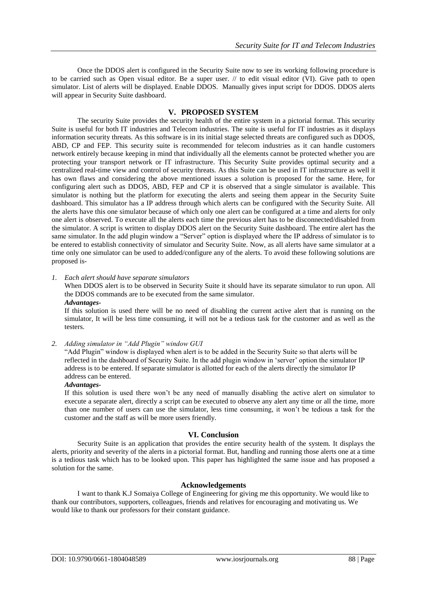Once the DDOS alert is configured in the Security Suite now to see its working following procedure is to be carried such as Open visual editor. Be a super user. // to edit visual editor (VI). Give path to open simulator. List of alerts will be displayed. Enable DDOS. Manually gives input script for DDOS. DDOS alerts will appear in Security Suite dashboard.

# **V. PROPOSED SYSTEM**

The security Suite provides the security health of the entire system in a pictorial format. This security Suite is useful for both IT industries and Telecom industries. The suite is useful for IT industries as it displays information security threats. As this software is in its initial stage selected threats are configured such as DDOS, ABD, CP and FEP. This security suite is recommended for telecom industries as it can handle customers network entirely because keeping in mind that individually all the elements cannot be protected whether you are protecting your transport network or IT infrastructure. This Security Suite provides optimal security and a centralized real-time view and control of security threats. As this Suite can be used in IT infrastructure as well it has own flaws and considering the above mentioned issues a solution is proposed for the same. Here, for configuring alert such as DDOS, ABD, FEP and CP it is observed that a single simulator is available. This simulator is nothing but the platform for executing the alerts and seeing them appear in the Security Suite dashboard. This simulator has a IP address through which alerts can be configured with the Security Suite. All the alerts have this one simulator because of which only one alert can be configured at a time and alerts for only one alert is observed. To execute all the alerts each time the previous alert has to be disconnected/disabled from the simulator. A script is written to display DDOS alert on the Security Suite dashboard. The entire alert has the same simulator. In the add plugin window a "Server" option is displayed where the IP address of simulator is to be entered to establish connectivity of simulator and Security Suite. Now, as all alerts have same simulator at a time only one simulator can be used to added/configure any of the alerts. To avoid these following solutions are proposed is-

*1. Each alert should have separate simulators*

When DDOS alert is to be observed in Security Suite it should have its separate simulator to run upon. All the DDOS commands are to be executed from the same simulator.

# *Advantages-*

If this solution is used there will be no need of disabling the current active alert that is running on the simulator, It will be less time consuming, it will not be a tedious task for the customer and as well as the testers.

*2. Adding simulator in "Add Plugin" window GUI*

"Add Plugin" window is displayed when alert is to be added in the Security Suite so that alerts will be reflected in the dashboard of Security Suite. In the add plugin window in "server" option the simulator IP address is to be entered. If separate simulator is allotted for each of the alerts directly the simulator IP address can be entered.

#### *Advantages-*

If this solution is used there won"t be any need of manually disabling the active alert on simulator to execute a separate alert, directly a script can be executed to observe any alert any time or all the time, more than one number of users can use the simulator, less time consuming, it won"t be tedious a task for the customer and the staff as will be more users friendly.

## **VI. Conclusion**

Security Suite is an application that provides the entire security health of the system. It displays the alerts, priority and severity of the alerts in a pictorial format. But, handling and running those alerts one at a time is a tedious task which has to be looked upon. This paper has highlighted the same issue and has proposed a solution for the same.

# **Acknowledgements**

I want to thank K.J Somaiya College of Engineering for giving me this opportunity. We would like to thank our contributors, supporters, colleagues, friends and relatives for encouraging and motivating us. We would like to thank our professors for their constant guidance.